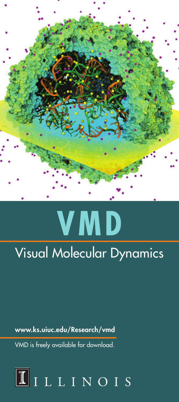

# **VMD**

## Visual Molecular Dynamics

www.ks.uiuc.edu/Research/vmd

VMD is freely available for download.

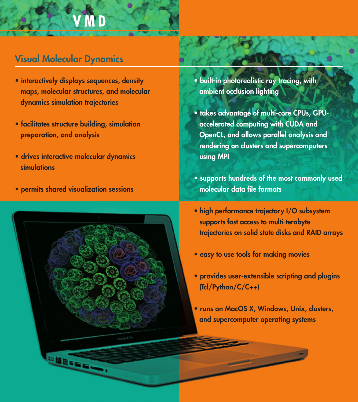## **V M D**

### Visual Molecular Dynamics

- interactively displays sequences, density maps, molecular structures, and molecular dynamics simulation trajectories
- facilitates structure building, simulation preparation, and analysis
- drives interactive molecular dynamics simulations
- permits shared visualization sessions



- built-in photorealistic ray tracing, with ambient occlusion lighting
- takes advantage of multi-core CPUs, GPUaccelerated computing with CUDA and OpenCL, and allows parallel analysis and rendering on clusters and supercomputers using MPI
- supports hundreds of the most commonly used molecular data file formats
- high performance trajectory I/O subsystem supports fast access to multi-terabyte trajectories on solid state disks and RAID arrays
- easy to use tools for making movies
- provides user-extensible scripting and plugins (Tcl/Python/C/C++)
- runs on MacOS X, Windows, Unix, clusters, and supercomputer operating systems